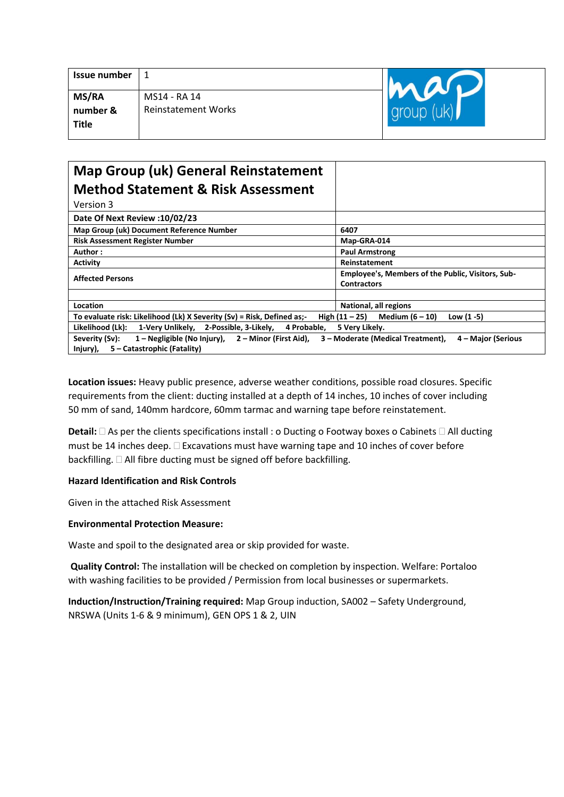| <b>Issue number</b> |                            |  |
|---------------------|----------------------------|--|
| <b>MS/RA</b>        | MS14 - RA 14               |  |
| number &            | <b>Reinstatement Works</b> |  |
| <b>Title</b>        |                            |  |
|                     |                            |  |

# **Map Group (uk) General Reinstatement Method Statement & Risk Assessment**

| Version 3                                                                                                       |                                                                         |  |  |  |
|-----------------------------------------------------------------------------------------------------------------|-------------------------------------------------------------------------|--|--|--|
| Date Of Next Review : 10/02/23                                                                                  |                                                                         |  |  |  |
| Map Group (uk) Document Reference Number                                                                        | 6407                                                                    |  |  |  |
| <b>Risk Assessment Register Number</b>                                                                          | Map-GRA-014                                                             |  |  |  |
| Author:                                                                                                         | <b>Paul Armstrong</b>                                                   |  |  |  |
| <b>Activity</b>                                                                                                 | Reinstatement                                                           |  |  |  |
| <b>Affected Persons</b>                                                                                         | Employee's, Members of the Public, Visitors, Sub-<br><b>Contractors</b> |  |  |  |
| Location<br>To evaluate risk: Likelihood (Lk) X Severity (Sv) = Risk, Defined as:-                              | National, all regions<br>Low $(1 - 5)$                                  |  |  |  |
|                                                                                                                 | High $(11 - 25)$<br>Medium $(6 - 10)$                                   |  |  |  |
| Likelihood (Lk):<br>4 Probable.<br>1-Verv Unlikely. 2-Possible. 3-Likely.                                       | 5 Very Likely.                                                          |  |  |  |
| 1 – Negligible (No Injury), 2 – Minor (First Aid),<br>Severity (Sv):<br>Injury),<br>5 – Catastrophic (Fatality) | 3 – Moderate (Medical Treatment),<br>4 – Major (Serious                 |  |  |  |

**Location issues:** Heavy public presence, adverse weather conditions, possible road closures. Specific requirements from the client: ducting installed at a depth of 14 inches, 10 inches of cover including 50 mm of sand, 140mm hardcore, 60mm tarmac and warning tape before reinstatement.

**Detail:**  $\Box$  As per the clients specifications install : o Ducting o Footway boxes o Cabinets  $\Box$  All ducting must be 14 inches deep.  $\Box$  Excavations must have warning tape and 10 inches of cover before backfilling.  $\Box$  All fibre ducting must be signed off before backfilling.

### **Hazard Identification and Risk Controls**

Given in the attached Risk Assessment

### **Environmental Protection Measure:**

Waste and spoil to the designated area or skip provided for waste.

**Quality Control:** The installation will be checked on completion by inspection. Welfare: Portaloo with washing facilities to be provided / Permission from local businesses or supermarkets.

**Induction/Instruction/Training required:** Map Group induction, SA002 – Safety Underground, NRSWA (Units 1-6 & 9 minimum), GEN OPS 1 & 2, UIN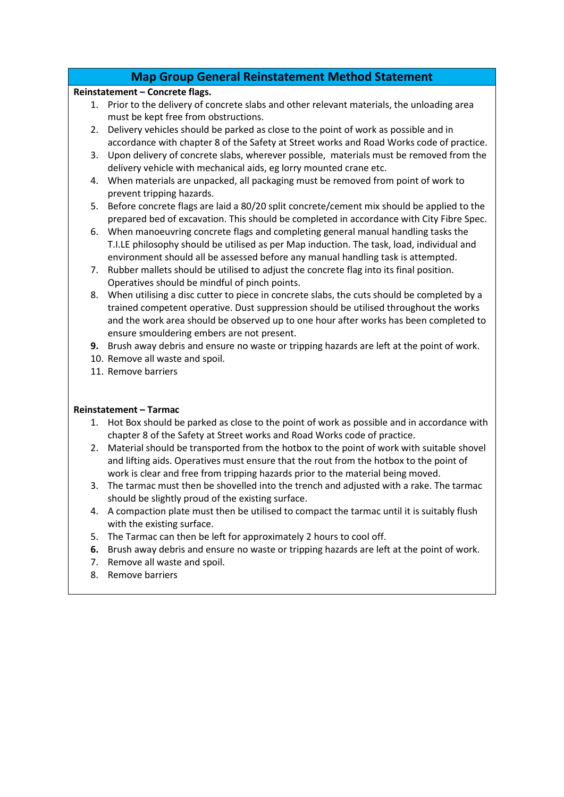# **Map Group General Reinstatement Method Statement**

### **Reinstatement – Concrete flags.**

- 1. Prior to the delivery of concrete slabs and other relevant materials, the unloading area must be kept free from obstructions.
- 2. Delivery vehicles should be parked as close to the point of work as possible and in accordance with chapter 8 of the Safety at Street works and Road Works code of practice.
- 3. Upon delivery of concrete slabs, wherever possible, materials must be removed from the delivery vehicle with mechanical aids, eg lorry mounted crane etc.
- 4. When materials are unpacked, all packaging must be removed from point of work to prevent tripping hazards.
- 5. Before concrete flags are laid a 80/20 split concrete/cement mix should be applied to the prepared bed of excavation. This should be completed in accordance with City Fibre Spec.
- 6. When manoeuvring concrete flags and completing general manual handling tasks the T.I.LE philosophy should be utilised as per Map induction. The task, load, individual and environment should all be assessed before any manual handling task is attempted.
- 7. Rubber mallets should be utilised to adjust the concrete flag into its final position. Operatives should be mindful of pinch points.
- 8. When utilising a disc cutter to piece in concrete slabs, the cuts should be completed by a trained competent operative. Dust suppression should be utilised throughout the works and the work area should be observed up to one hour after works has been completed to ensure smouldering embers are not present.
- **9.** Brush away debris and ensure no waste or tripping hazards are left at the point of work.
- 10. Remove all waste and spoil.
- 11. Remove barriers

## **Reinstatement – Tarmac**

- 1. Hot Box should be parked as close to the point of work as possible and in accordance with chapter 8 of the Safety at Street works and Road Works code of practice.
- 2. Material should be transported from the hotbox to the point of work with suitable shovel and lifting aids. Operatives must ensure that the rout from the hotbox to the point of work is clear and free from tripping hazards prior to the material being moved.
- 3. The tarmac must then be shovelled into the trench and adjusted with a rake. The tarmac should be slightly proud of the existing surface.
- 4. A compaction plate must then be utilised to compact the tarmac until it is suitably flush with the existing surface.
- 5. The Tarmac can then be left for approximately 2 hours to cool off.
- **6.** Brush away debris and ensure no waste or tripping hazards are left at the point of work.
- 7. Remove all waste and spoil.
- 8. Remove barriers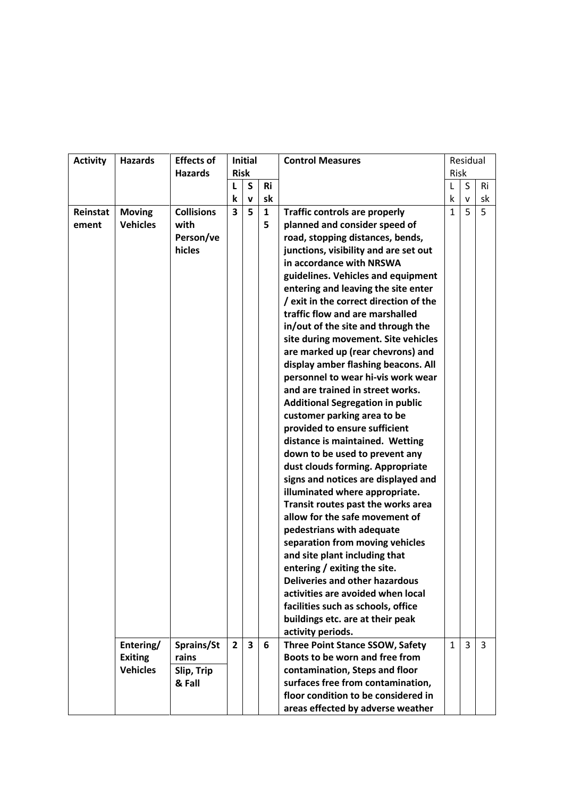| <b>Activity</b> | <b>Hazards</b>  | <b>Effects of</b> | <b>Initial</b>          |                         |              | <b>Control Measures</b>                 |              | Residual       |    |  |
|-----------------|-----------------|-------------------|-------------------------|-------------------------|--------------|-----------------------------------------|--------------|----------------|----|--|
|                 |                 | <b>Hazards</b>    | <b>Risk</b>             |                         |              |                                         | <b>Risk</b>  |                |    |  |
|                 |                 |                   | L                       | S                       | <b>Ri</b>    |                                         | L            | S              | Ri |  |
|                 |                 |                   | k                       | v                       | sk           |                                         | k            | v              | sk |  |
| Reinstat        | <b>Moving</b>   | <b>Collisions</b> | $\overline{\mathbf{3}}$ | 5                       | $\mathbf{1}$ | <b>Traffic controls are properly</b>    | $\mathbf{1}$ | 5              | 5  |  |
| ement           | <b>Vehicles</b> | with              |                         |                         | 5            | planned and consider speed of           |              |                |    |  |
|                 |                 | Person/ve         |                         |                         |              | road, stopping distances, bends,        |              |                |    |  |
|                 |                 | hicles            |                         |                         |              | junctions, visibility and are set out   |              |                |    |  |
|                 |                 |                   |                         |                         |              | in accordance with NRSWA                |              |                |    |  |
|                 |                 |                   |                         |                         |              | guidelines. Vehicles and equipment      |              |                |    |  |
|                 |                 |                   |                         |                         |              | entering and leaving the site enter     |              |                |    |  |
|                 |                 |                   |                         |                         |              | / exit in the correct direction of the  |              |                |    |  |
|                 |                 |                   |                         |                         |              | traffic flow and are marshalled         |              |                |    |  |
|                 |                 |                   |                         |                         |              | in/out of the site and through the      |              |                |    |  |
|                 |                 |                   |                         |                         |              | site during movement. Site vehicles     |              |                |    |  |
|                 |                 |                   |                         |                         |              | are marked up (rear chevrons) and       |              |                |    |  |
|                 |                 |                   |                         |                         |              | display amber flashing beacons. All     |              |                |    |  |
|                 |                 |                   |                         |                         |              | personnel to wear hi-vis work wear      |              |                |    |  |
|                 |                 |                   |                         |                         |              | and are trained in street works.        |              |                |    |  |
|                 |                 |                   |                         |                         |              | <b>Additional Segregation in public</b> |              |                |    |  |
|                 |                 |                   |                         |                         |              | customer parking area to be             |              |                |    |  |
|                 |                 |                   |                         |                         |              | provided to ensure sufficient           |              |                |    |  |
|                 |                 |                   |                         |                         |              | distance is maintained. Wetting         |              |                |    |  |
|                 |                 |                   |                         |                         |              | down to be used to prevent any          |              |                |    |  |
|                 |                 |                   |                         |                         |              | dust clouds forming. Appropriate        |              |                |    |  |
|                 |                 |                   |                         |                         |              | signs and notices are displayed and     |              |                |    |  |
|                 |                 |                   |                         |                         |              | illuminated where appropriate.          |              |                |    |  |
|                 |                 |                   |                         |                         |              | Transit routes past the works area      |              |                |    |  |
|                 |                 |                   |                         |                         |              | allow for the safe movement of          |              |                |    |  |
|                 |                 |                   |                         |                         |              | pedestrians with adequate               |              |                |    |  |
|                 |                 |                   |                         |                         |              | separation from moving vehicles         |              |                |    |  |
|                 |                 |                   |                         |                         |              | and site plant including that           |              |                |    |  |
|                 |                 |                   |                         |                         |              | entering / exiting the site.            |              |                |    |  |
|                 |                 |                   |                         |                         |              | <b>Deliveries and other hazardous</b>   |              |                |    |  |
|                 |                 |                   |                         |                         |              | activities are avoided when local       |              |                |    |  |
|                 |                 |                   |                         |                         |              | facilities such as schools, office      |              |                |    |  |
|                 |                 |                   |                         |                         |              | buildings etc. are at their peak        |              |                |    |  |
|                 |                 |                   |                         |                         |              | activity periods.                       |              |                |    |  |
|                 | Entering/       | Sprains/St        | $\overline{2}$          | $\overline{\mathbf{3}}$ | 6            | <b>Three Point Stance SSOW, Safety</b>  | $\mathbf{1}$ | $\overline{3}$ | 3  |  |
|                 | <b>Exiting</b>  | rains             |                         |                         |              | Boots to be worn and free from          |              |                |    |  |
|                 | <b>Vehicles</b> | Slip, Trip        |                         |                         |              | contamination, Steps and floor          |              |                |    |  |
|                 |                 | & Fall            |                         |                         |              | surfaces free from contamination,       |              |                |    |  |
|                 |                 |                   |                         |                         |              | floor condition to be considered in     |              |                |    |  |
|                 |                 |                   |                         |                         |              | areas effected by adverse weather       |              |                |    |  |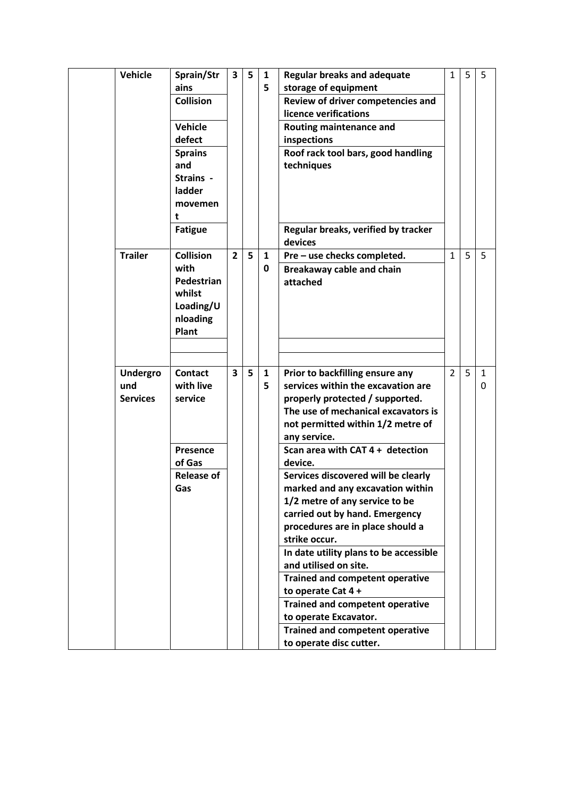| Vehicle         | Sprain/Str        | 3              | 5 | 1            | <b>Regular breaks and adequate</b>             | 1              | 5 | -5 |
|-----------------|-------------------|----------------|---|--------------|------------------------------------------------|----------------|---|----|
|                 | ains              |                |   | 5            | storage of equipment                           |                |   |    |
|                 | <b>Collision</b>  |                |   |              | Review of driver competencies and              |                |   |    |
|                 |                   |                |   |              | licence verifications                          |                |   |    |
|                 | <b>Vehicle</b>    |                |   |              | Routing maintenance and                        |                |   |    |
|                 | defect            |                |   |              | inspections                                    |                |   |    |
|                 | <b>Sprains</b>    |                |   |              | Roof rack tool bars, good handling             |                |   |    |
|                 | and               |                |   |              | techniques                                     |                |   |    |
|                 | Strains -         |                |   |              |                                                |                |   |    |
|                 | ladder            |                |   |              |                                                |                |   |    |
|                 | movemen           |                |   |              |                                                |                |   |    |
|                 | t                 |                |   |              |                                                |                |   |    |
|                 | <b>Fatigue</b>    |                |   |              | Regular breaks, verified by tracker<br>devices |                |   |    |
| <b>Trailer</b>  | <b>Collision</b>  | $\overline{2}$ | 5 | 1            | Pre - use checks completed.                    | $\mathbf{1}$   | 5 | 5  |
|                 | with              |                |   | 0            | Breakaway cable and chain                      |                |   |    |
|                 | Pedestrian        |                |   |              | attached                                       |                |   |    |
|                 | whilst            |                |   |              |                                                |                |   |    |
|                 | Loading/U         |                |   |              |                                                |                |   |    |
|                 | nloading          |                |   |              |                                                |                |   |    |
|                 | Plant             |                |   |              |                                                |                |   |    |
|                 |                   |                |   |              |                                                |                |   |    |
|                 |                   |                |   |              |                                                |                |   |    |
| <b>Undergro</b> | <b>Contact</b>    | 3              | 5 | $\mathbf{1}$ | Prior to backfilling ensure any                | $\overline{2}$ | 5 | -1 |
| und             | with live         |                |   | 5            | services within the excavation are             |                |   | 0  |
| <b>Services</b> | service           |                |   |              | properly protected / supported.                |                |   |    |
|                 |                   |                |   |              | The use of mechanical excavators is            |                |   |    |
|                 |                   |                |   |              | not permitted within 1/2 metre of              |                |   |    |
|                 |                   |                |   |              | any service.                                   |                |   |    |
|                 | Presence          |                |   |              | Scan area with CAT 4 + detection               |                |   |    |
|                 | of Gas            |                |   |              | device.                                        |                |   |    |
|                 | <b>Release of</b> |                |   |              | Services discovered will be clearly            |                |   |    |
|                 | Gas               |                |   |              | marked and any excavation within               |                |   |    |
|                 |                   |                |   |              | 1/2 metre of any service to be                 |                |   |    |
|                 |                   |                |   |              | carried out by hand. Emergency                 |                |   |    |
|                 |                   |                |   |              | procedures are in place should a               |                |   |    |
|                 |                   |                |   |              | strike occur.                                  |                |   |    |
|                 |                   |                |   |              | In date utility plans to be accessible         |                |   |    |
|                 |                   |                |   |              | and utilised on site.                          |                |   |    |
|                 |                   |                |   |              | <b>Trained and competent operative</b>         |                |   |    |
|                 |                   |                |   |              | to operate Cat 4 +                             |                |   |    |
|                 |                   |                |   |              | <b>Trained and competent operative</b>         |                |   |    |
|                 |                   |                |   |              | to operate Excavator.                          |                |   |    |
|                 |                   |                |   |              | <b>Trained and competent operative</b>         |                |   |    |
|                 |                   |                |   |              | to operate disc cutter.                        |                |   |    |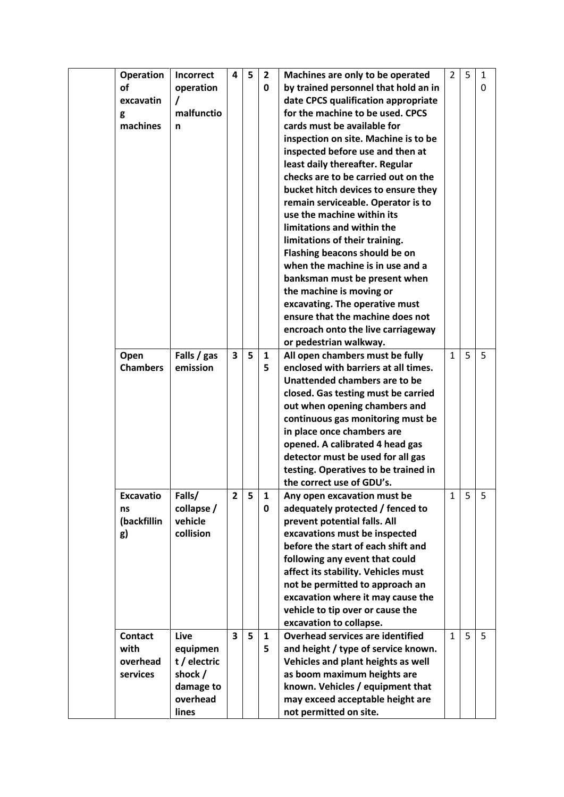| <b>Operation</b> | Incorrect    | 4              | 5 |                   |                                                                          | $\overline{2}$ | 5 |        |
|------------------|--------------|----------------|---|-------------------|--------------------------------------------------------------------------|----------------|---|--------|
| <b>of</b>        | operation    |                |   | $\mathbf{2}$<br>0 | Machines are only to be operated<br>by trained personnel that hold an in |                |   | 1<br>0 |
| excavatin        | $\prime$     |                |   |                   | date CPCS qualification appropriate                                      |                |   |        |
|                  | malfunctio   |                |   |                   | for the machine to be used. CPCS                                         |                |   |        |
| g<br>machines    |              |                |   |                   | cards must be available for                                              |                |   |        |
|                  | n            |                |   |                   |                                                                          |                |   |        |
|                  |              |                |   |                   | inspection on site. Machine is to be                                     |                |   |        |
|                  |              |                |   |                   | inspected before use and then at                                         |                |   |        |
|                  |              |                |   |                   | least daily thereafter. Regular                                          |                |   |        |
|                  |              |                |   |                   | checks are to be carried out on the                                      |                |   |        |
|                  |              |                |   |                   | bucket hitch devices to ensure they                                      |                |   |        |
|                  |              |                |   |                   | remain serviceable. Operator is to                                       |                |   |        |
|                  |              |                |   |                   | use the machine within its                                               |                |   |        |
|                  |              |                |   |                   | limitations and within the                                               |                |   |        |
|                  |              |                |   |                   | limitations of their training.                                           |                |   |        |
|                  |              |                |   |                   | Flashing beacons should be on                                            |                |   |        |
|                  |              |                |   |                   | when the machine is in use and a                                         |                |   |        |
|                  |              |                |   |                   | banksman must be present when                                            |                |   |        |
|                  |              |                |   |                   | the machine is moving or                                                 |                |   |        |
|                  |              |                |   |                   | excavating. The operative must                                           |                |   |        |
|                  |              |                |   |                   | ensure that the machine does not                                         |                |   |        |
|                  |              |                |   |                   | encroach onto the live carriageway                                       |                |   |        |
|                  |              |                |   |                   | or pedestrian walkway.                                                   |                |   |        |
| Open             | Falls / gas  | 3              | 5 | $\mathbf{1}$      | All open chambers must be fully                                          | $\mathbf{1}$   | 5 | 5      |
| <b>Chambers</b>  | emission     |                |   | 5                 | enclosed with barriers at all times.                                     |                |   |        |
|                  |              |                |   |                   | Unattended chambers are to be                                            |                |   |        |
|                  |              |                |   |                   | closed. Gas testing must be carried                                      |                |   |        |
|                  |              |                |   |                   | out when opening chambers and                                            |                |   |        |
|                  |              |                |   |                   | continuous gas monitoring must be                                        |                |   |        |
|                  |              |                |   |                   |                                                                          |                |   |        |
|                  |              |                |   |                   | in place once chambers are                                               |                |   |        |
|                  |              |                |   |                   | opened. A calibrated 4 head gas                                          |                |   |        |
|                  |              |                |   |                   | detector must be used for all gas                                        |                |   |        |
|                  |              |                |   |                   | testing. Operatives to be trained in                                     |                |   |        |
|                  |              |                |   |                   | the correct use of GDU's.                                                |                |   |        |
| <b>Excavatio</b> | Falls/       | $\overline{2}$ | 5 | 1                 | Any open excavation must be                                              | 1              | 5 | 5      |
| ns               | collapse /   |                |   | 0                 | adequately protected / fenced to                                         |                |   |        |
| (backfillin      | vehicle      |                |   |                   | prevent potential falls. All                                             |                |   |        |
| g)               | collision    |                |   |                   | excavations must be inspected                                            |                |   |        |
|                  |              |                |   |                   | before the start of each shift and                                       |                |   |        |
|                  |              |                |   |                   | following any event that could                                           |                |   |        |
|                  |              |                |   |                   | affect its stability. Vehicles must                                      |                |   |        |
|                  |              |                |   |                   | not be permitted to approach an                                          |                |   |        |
|                  |              |                |   |                   | excavation where it may cause the                                        |                |   |        |
|                  |              |                |   |                   | vehicle to tip over or cause the                                         |                |   |        |
|                  |              |                |   |                   | excavation to collapse.                                                  |                |   |        |
| <b>Contact</b>   | Live         | 3              | 5 | $\mathbf{1}$      | <b>Overhead services are identified</b>                                  | $\mathbf{1}$   | 5 | 5      |
| with             | equipmen     |                |   | 5                 | and height / type of service known.                                      |                |   |        |
| overhead         | t / electric |                |   |                   | Vehicles and plant heights as well                                       |                |   |        |
| services         | shock /      |                |   |                   | as boom maximum heights are                                              |                |   |        |
|                  | damage to    |                |   |                   | known. Vehicles / equipment that                                         |                |   |        |
|                  | overhead     |                |   |                   | may exceed acceptable height are                                         |                |   |        |
|                  | lines        |                |   |                   | not permitted on site.                                                   |                |   |        |
|                  |              |                |   |                   |                                                                          |                |   |        |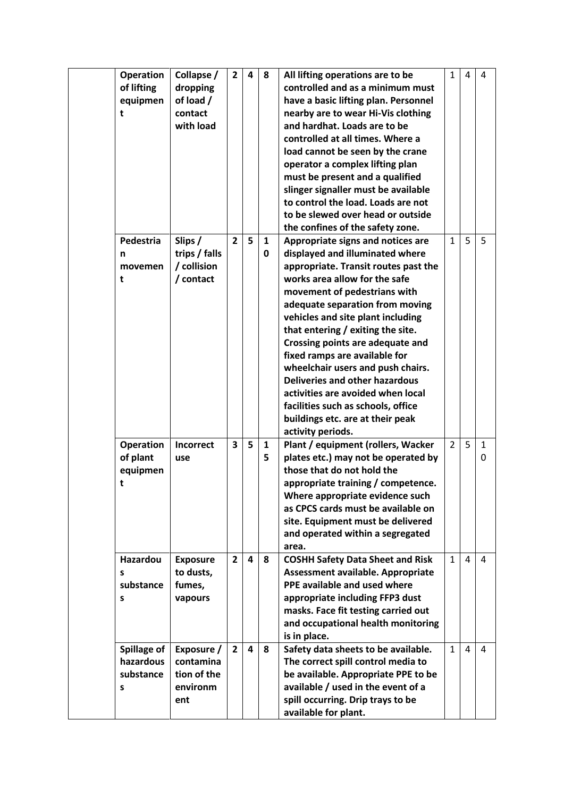| <b>Operation</b><br>of lifting<br>equipmen<br>t | Collapse /<br>dropping<br>of load /<br>contact<br>with load | $\overline{2}$ | 4 | 8      | All lifting operations are to be<br>controlled and as a minimum must<br>have a basic lifting plan. Personnel<br>nearby are to wear Hi-Vis clothing<br>and hardhat. Loads are to be<br>controlled at all times. Where a<br>load cannot be seen by the crane<br>operator a complex lifting plan<br>must be present and a qualified<br>slinger signaller must be available<br>to control the load. Loads are not<br>to be slewed over head or outside<br>the confines of the safety zone.                                                                                            | $\mathbf{1}$   | 4 | 4      |
|-------------------------------------------------|-------------------------------------------------------------|----------------|---|--------|-----------------------------------------------------------------------------------------------------------------------------------------------------------------------------------------------------------------------------------------------------------------------------------------------------------------------------------------------------------------------------------------------------------------------------------------------------------------------------------------------------------------------------------------------------------------------------------|----------------|---|--------|
| Pedestria<br>n<br>movemen<br>t                  | Slips /<br>trips / falls<br>/ collision<br>/ contact        | $\overline{2}$ | 5 | 1<br>0 | Appropriate signs and notices are<br>displayed and illuminated where<br>appropriate. Transit routes past the<br>works area allow for the safe<br>movement of pedestrians with<br>adequate separation from moving<br>vehicles and site plant including<br>that entering / exiting the site.<br>Crossing points are adequate and<br>fixed ramps are available for<br>wheelchair users and push chairs.<br><b>Deliveries and other hazardous</b><br>activities are avoided when local<br>facilities such as schools, office<br>buildings etc. are at their peak<br>activity periods. | $\mathbf{1}$   | 5 | 5      |
| <b>Operation</b><br>of plant<br>equipmen<br>t   | <b>Incorrect</b><br>use                                     | 3              | 5 | 1<br>5 | Plant / equipment (rollers, Wacker<br>plates etc.) may not be operated by<br>those that do not hold the<br>appropriate training / competence.<br>Where appropriate evidence such<br>as CPCS cards must be available on<br>site. Equipment must be delivered<br>and operated within a segregated<br>area.                                                                                                                                                                                                                                                                          | $\overline{2}$ | 5 | 1<br>0 |
| <b>Hazardou</b><br>s<br>substance<br>S          | <b>Exposure</b><br>to dusts,<br>fumes,<br>vapours           | $\overline{2}$ | 4 | 8      | <b>COSHH Safety Data Sheet and Risk</b><br>Assessment available. Appropriate<br>PPE available and used where<br>appropriate including FFP3 dust<br>masks. Face fit testing carried out<br>and occupational health monitoring<br>is in place.                                                                                                                                                                                                                                                                                                                                      | $\mathbf{1}$   | 4 | 4      |
| Spillage of<br>hazardous<br>substance<br>S      | Exposure /<br>contamina<br>tion of the<br>environm<br>ent   | $\overline{2}$ | 4 | 8      | Safety data sheets to be available.<br>The correct spill control media to<br>be available. Appropriate PPE to be<br>available / used in the event of a<br>spill occurring. Drip trays to be<br>available for plant.                                                                                                                                                                                                                                                                                                                                                               | $\mathbf{1}$   | 4 | 4      |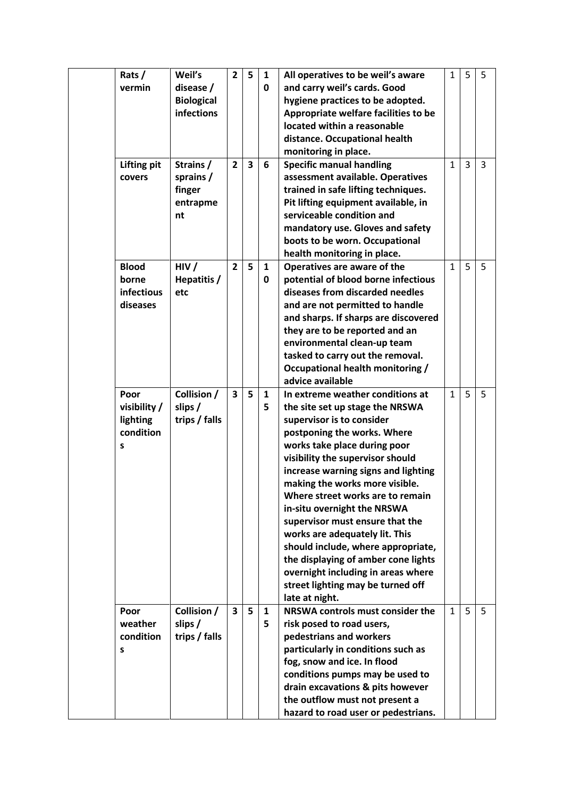| Rats/              | Weil's            | $\overline{2}$          | 5                       | $\mathbf{1}$ | All operatives to be weil's aware    | $\mathbf{1}$ | 5 | -5 |
|--------------------|-------------------|-------------------------|-------------------------|--------------|--------------------------------------|--------------|---|----|
| vermin             | disease /         |                         |                         | 0            | and carry weil's cards. Good         |              |   |    |
|                    | <b>Biological</b> |                         |                         |              | hygiene practices to be adopted.     |              |   |    |
|                    | <b>infections</b> |                         |                         |              | Appropriate welfare facilities to be |              |   |    |
|                    |                   |                         |                         |              | located within a reasonable          |              |   |    |
|                    |                   |                         |                         |              | distance. Occupational health        |              |   |    |
|                    |                   |                         |                         |              | monitoring in place.                 |              |   |    |
| <b>Lifting pit</b> | Strains /         | $\overline{2}$          | $\overline{\mathbf{3}}$ | 6            | <b>Specific manual handling</b>      | $\mathbf{1}$ | 3 | 3  |
| covers             | sprains /         |                         |                         |              | assessment available. Operatives     |              |   |    |
|                    | finger            |                         |                         |              | trained in safe lifting techniques.  |              |   |    |
|                    | entrapme          |                         |                         |              | Pit lifting equipment available, in  |              |   |    |
|                    | nt                |                         |                         |              | serviceable condition and            |              |   |    |
|                    |                   |                         |                         |              | mandatory use. Gloves and safety     |              |   |    |
|                    |                   |                         |                         |              | boots to be worn. Occupational       |              |   |    |
|                    |                   |                         |                         |              | health monitoring in place.          |              |   |    |
| <b>Blood</b>       | HIV/              | $\overline{2}$          | 5                       | $\mathbf{1}$ | Operatives are aware of the          | $\mathbf{1}$ | 5 | 5  |
| borne              | Hepatitis /       |                         |                         | 0            | potential of blood borne infectious  |              |   |    |
| infectious         | etc               |                         |                         |              | diseases from discarded needles      |              |   |    |
| diseases           |                   |                         |                         |              | and are not permitted to handle      |              |   |    |
|                    |                   |                         |                         |              | and sharps. If sharps are discovered |              |   |    |
|                    |                   |                         |                         |              | they are to be reported and an       |              |   |    |
|                    |                   |                         |                         |              | environmental clean-up team          |              |   |    |
|                    |                   |                         |                         |              | tasked to carry out the removal.     |              |   |    |
|                    |                   |                         |                         |              | Occupational health monitoring /     |              |   |    |
|                    |                   |                         |                         |              | advice available                     |              |   |    |
| Poor               | Collision /       | $\overline{\mathbf{3}}$ | 5                       | 1            | In extreme weather conditions at     | $\mathbf{1}$ | 5 | 5  |
| visibility /       | slips/            |                         |                         | 5            | the site set up stage the NRSWA      |              |   |    |
| lighting           | trips / falls     |                         |                         |              | supervisor is to consider            |              |   |    |
| condition          |                   |                         |                         |              | postponing the works. Where          |              |   |    |
| S                  |                   |                         |                         |              | works take place during poor         |              |   |    |
|                    |                   |                         |                         |              | visibility the supervisor should     |              |   |    |
|                    |                   |                         |                         |              | increase warning signs and lighting  |              |   |    |
|                    |                   |                         |                         |              | making the works more visible.       |              |   |    |
|                    |                   |                         |                         |              | Where street works are to remain     |              |   |    |
|                    |                   |                         |                         |              | in-situ overnight the NRSWA          |              |   |    |
|                    |                   |                         |                         |              | supervisor must ensure that the      |              |   |    |
|                    |                   |                         |                         |              | works are adequately lit. This       |              |   |    |
|                    |                   |                         |                         |              | should include, where appropriate,   |              |   |    |
|                    |                   |                         |                         |              | the displaying of amber cone lights  |              |   |    |
|                    |                   |                         |                         |              | overnight including in areas where   |              |   |    |
|                    |                   |                         |                         |              | street lighting may be turned off    |              |   |    |
|                    |                   |                         |                         |              | late at night.                       |              |   |    |
| Poor               | Collision /       | $\overline{\mathbf{3}}$ | 5                       | $\mathbf{1}$ | NRSWA controls must consider the     | 1            | 5 | 5  |
| weather            | slips /           |                         |                         | 5            | risk posed to road users,            |              |   |    |
| condition          | trips / falls     |                         |                         |              | pedestrians and workers              |              |   |    |
| S                  |                   |                         |                         |              | particularly in conditions such as   |              |   |    |
|                    |                   |                         |                         |              | fog, snow and ice. In flood          |              |   |    |
|                    |                   |                         |                         |              | conditions pumps may be used to      |              |   |    |
|                    |                   |                         |                         |              | drain excavations & pits however     |              |   |    |
|                    |                   |                         |                         |              | the outflow must not present a       |              |   |    |
|                    |                   |                         |                         |              | hazard to road user or pedestrians.  |              |   |    |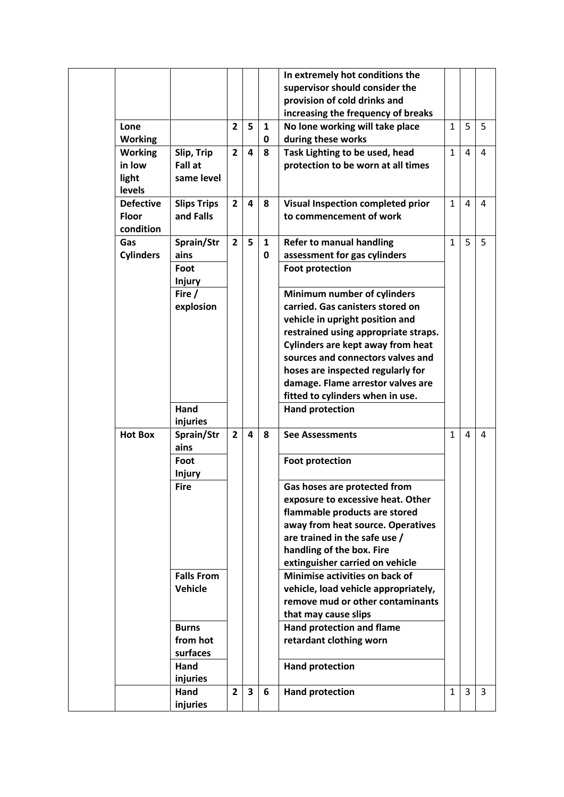|                  |                    |                |                         |              | In extremely hot conditions the          |              |   |   |
|------------------|--------------------|----------------|-------------------------|--------------|------------------------------------------|--------------|---|---|
|                  |                    |                |                         |              | supervisor should consider the           |              |   |   |
|                  |                    |                |                         |              | provision of cold drinks and             |              |   |   |
|                  |                    |                |                         |              | increasing the frequency of breaks       |              |   |   |
| Lone             |                    | $\overline{2}$ | 5                       | 1            | No lone working will take place          | 1            | 5 | 5 |
| <b>Working</b>   |                    |                |                         | 0            | during these works                       |              |   |   |
| <b>Working</b>   | Slip, Trip         | $\overline{2}$ | $\overline{\mathbf{a}}$ | 8            | Task Lighting to be used, head           | $\mathbf{1}$ | 4 | 4 |
| in low           | Fall at            |                |                         |              | protection to be worn at all times       |              |   |   |
| light            | same level         |                |                         |              |                                          |              |   |   |
| levels           |                    |                |                         |              |                                          |              |   |   |
| <b>Defective</b> | <b>Slips Trips</b> | $\overline{2}$ | $\overline{\mathbf{a}}$ | 8            | Visual Inspection completed prior        | $\mathbf{1}$ | 4 | 4 |
| Floor            | and Falls          |                |                         |              | to commencement of work                  |              |   |   |
| condition        |                    |                |                         |              |                                          |              |   |   |
| Gas              | Sprain/Str         | $\overline{2}$ | 5                       | $\mathbf{1}$ | <b>Refer to manual handling</b>          | $\mathbf{1}$ | 5 | 5 |
| <b>Cylinders</b> | ains               |                |                         | $\mathbf 0$  | assessment for gas cylinders             |              |   |   |
|                  | Foot               |                |                         |              | <b>Foot protection</b>                   |              |   |   |
|                  | <b>Injury</b>      |                |                         |              |                                          |              |   |   |
|                  | Fire $/$           |                |                         |              | Minimum number of cylinders              |              |   |   |
|                  | explosion          |                |                         |              | carried. Gas canisters stored on         |              |   |   |
|                  |                    |                |                         |              | vehicle in upright position and          |              |   |   |
|                  |                    |                |                         |              | restrained using appropriate straps.     |              |   |   |
|                  |                    |                |                         |              | <b>Cylinders are kept away from heat</b> |              |   |   |
|                  |                    |                |                         |              | sources and connectors valves and        |              |   |   |
|                  |                    |                |                         |              | hoses are inspected regularly for        |              |   |   |
|                  |                    |                |                         |              | damage. Flame arrestor valves are        |              |   |   |
|                  |                    |                |                         |              | fitted to cylinders when in use.         |              |   |   |
|                  | Hand               |                |                         |              | <b>Hand protection</b>                   |              |   |   |
|                  | injuries           |                |                         |              |                                          |              |   |   |
| <b>Hot Box</b>   | Sprain/Str         | $\overline{2}$ | 4                       | 8            | <b>See Assessments</b>                   | $\mathbf{1}$ | 4 | 4 |
|                  | ains               |                |                         |              |                                          |              |   |   |
|                  | Foot               |                |                         |              | <b>Foot protection</b>                   |              |   |   |
|                  | <b>Injury</b>      |                |                         |              |                                          |              |   |   |
|                  | <b>Fire</b>        |                |                         |              | Gas hoses are protected from             |              |   |   |
|                  |                    |                |                         |              | exposure to excessive heat. Other        |              |   |   |
|                  |                    |                |                         |              | flammable products are stored            |              |   |   |
|                  |                    |                |                         |              | away from heat source. Operatives        |              |   |   |
|                  |                    |                |                         |              | are trained in the safe use /            |              |   |   |
|                  |                    |                |                         |              | handling of the box. Fire                |              |   |   |
|                  |                    |                |                         |              | extinguisher carried on vehicle          |              |   |   |
|                  | <b>Falls From</b>  |                |                         |              | Minimise activities on back of           |              |   |   |
|                  | <b>Vehicle</b>     |                |                         |              | vehicle, load vehicle appropriately,     |              |   |   |
|                  |                    |                |                         |              | remove mud or other contaminants         |              |   |   |
|                  |                    |                |                         |              | that may cause slips                     |              |   |   |
|                  | <b>Burns</b>       |                |                         |              | <b>Hand protection and flame</b>         |              |   |   |
|                  | from hot           |                |                         |              | retardant clothing worn                  |              |   |   |
|                  | surfaces           |                |                         |              |                                          |              |   |   |
|                  | Hand               |                |                         |              | <b>Hand protection</b>                   |              |   |   |
|                  | injuries           |                |                         |              |                                          |              |   |   |
|                  | Hand               | $\overline{2}$ | $\overline{\mathbf{3}}$ | 6            | <b>Hand protection</b>                   | $\mathbf{1}$ | 3 | 3 |
|                  | injuries           |                |                         |              |                                          |              |   |   |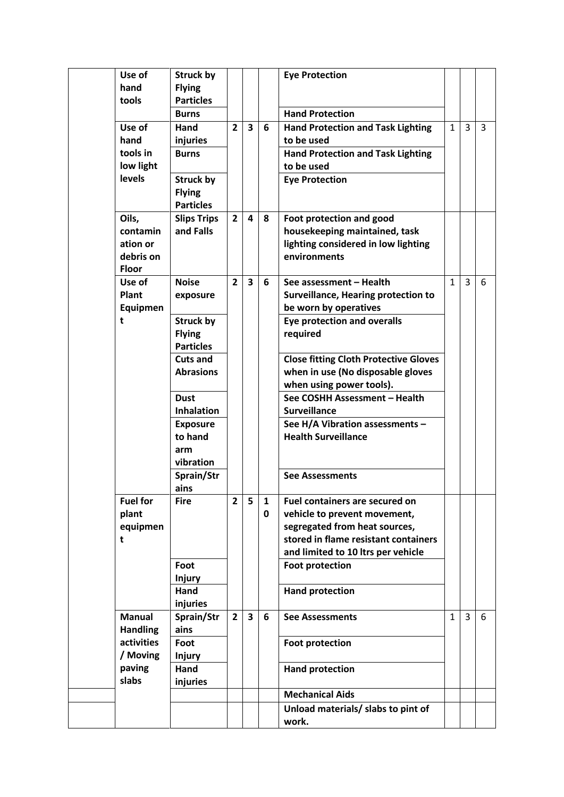| Use of<br>hand<br>tools                                    | <b>Struck by</b><br><b>Flying</b><br><b>Particles</b> |                |                         |   | <b>Eye Protection</b>                                                                                            |              |   |   |
|------------------------------------------------------------|-------------------------------------------------------|----------------|-------------------------|---|------------------------------------------------------------------------------------------------------------------|--------------|---|---|
|                                                            | <b>Burns</b>                                          |                |                         |   | <b>Hand Protection</b>                                                                                           |              |   |   |
| Use of<br>hand                                             | Hand<br>injuries                                      | $\overline{2}$ | $\overline{\mathbf{3}}$ | 6 | <b>Hand Protection and Task Lighting</b><br>to be used                                                           | $\mathbf{1}$ | 3 | 3 |
| tools in<br>low light                                      | <b>Burns</b>                                          |                |                         |   | <b>Hand Protection and Task Lighting</b><br>to be used                                                           |              |   |   |
| levels                                                     | <b>Struck by</b><br><b>Flying</b><br><b>Particles</b> |                |                         |   | <b>Eye Protection</b>                                                                                            |              |   |   |
| Oils,<br>contamin<br>ation or<br>debris on<br><b>Floor</b> | <b>Slips Trips</b><br>and Falls                       | $\overline{2}$ | 4                       | 8 | Foot protection and good<br>housekeeping maintained, task<br>lighting considered in low lighting<br>environments |              |   |   |
| Use of<br>Plant                                            | <b>Noise</b><br>exposure                              | $\overline{2}$ | $\overline{\mathbf{3}}$ | 6 | See assessment - Health<br><b>Surveillance, Hearing protection to</b>                                            | $\mathbf{1}$ | 3 | 6 |
| Equipmen                                                   |                                                       |                |                         |   | be worn by operatives                                                                                            |              |   |   |
| t                                                          | <b>Struck by</b><br><b>Flying</b><br><b>Particles</b> |                |                         |   | <b>Eye protection and overalls</b><br>required                                                                   |              |   |   |
|                                                            | <b>Cuts and</b><br><b>Abrasions</b>                   |                |                         |   | <b>Close fitting Cloth Protective Gloves</b><br>when in use (No disposable gloves                                |              |   |   |
|                                                            | <b>Dust</b>                                           |                |                         |   | when using power tools).<br>See COSHH Assessment - Health                                                        |              |   |   |
|                                                            | <b>Inhalation</b>                                     |                |                         |   | <b>Surveillance</b>                                                                                              |              |   |   |
|                                                            | <b>Exposure</b>                                       |                |                         |   | See H/A Vibration assessments -                                                                                  |              |   |   |
|                                                            | to hand<br>arm<br>vibration                           |                |                         |   | <b>Health Surveillance</b>                                                                                       |              |   |   |
|                                                            | Sprain/Str<br>ains                                    |                |                         |   | <b>See Assessments</b>                                                                                           |              |   |   |
| <b>Fuel for</b>                                            | <b>Fire</b>                                           | $\overline{2}$ | 5                       | 1 | Fuel containers are secured on                                                                                   |              |   |   |
| plant                                                      |                                                       |                |                         | 0 | vehicle to prevent movement,                                                                                     |              |   |   |
| equipmen                                                   |                                                       |                |                         |   | segregated from heat sources,                                                                                    |              |   |   |
| t                                                          |                                                       |                |                         |   | stored in flame resistant containers<br>and limited to 10 ltrs per vehicle                                       |              |   |   |
|                                                            | Foot                                                  |                |                         |   | <b>Foot protection</b>                                                                                           |              |   |   |
|                                                            | <b>Injury</b>                                         |                |                         |   |                                                                                                                  |              |   |   |
|                                                            | Hand                                                  |                |                         |   | <b>Hand protection</b>                                                                                           |              |   |   |
|                                                            | injuries                                              |                |                         |   |                                                                                                                  |              |   |   |
| <b>Manual</b>                                              | Sprain/Str                                            | $\overline{2}$ | $\overline{\mathbf{3}}$ | 6 | <b>See Assessments</b>                                                                                           | $\mathbf{1}$ | 3 | 6 |
| <b>Handling</b>                                            | ains                                                  |                |                         |   |                                                                                                                  |              |   |   |
| activities                                                 | Foot                                                  |                |                         |   | <b>Foot protection</b>                                                                                           |              |   |   |
| / Moving<br>paving                                         | <b>Injury</b><br>Hand                                 |                |                         |   |                                                                                                                  |              |   |   |
| slabs                                                      | injuries                                              |                |                         |   | <b>Hand protection</b>                                                                                           |              |   |   |
|                                                            |                                                       |                |                         |   | <b>Mechanical Aids</b>                                                                                           |              |   |   |
|                                                            |                                                       |                |                         |   | Unload materials/ slabs to pint of                                                                               |              |   |   |
|                                                            |                                                       |                |                         |   | work.                                                                                                            |              |   |   |